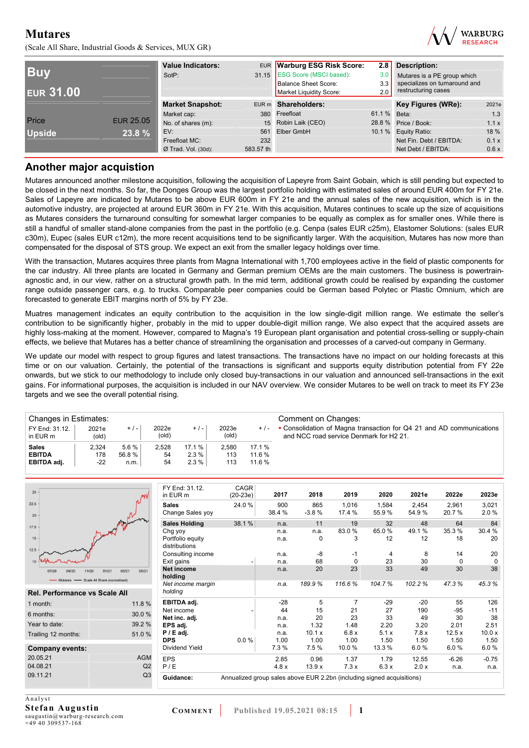(Scale All Share, Industrial Goods & Services, MUX GR)



| <b>Buv</b><br><b>EUR 31.00</b> |                  | <b>Value Indicators:</b><br>SotP: |           | EUR Warburg ESG Risk Score:<br>31.15 ESG Score (MSCI based):<br><b>Balance Sheet Score:</b><br>Market Liquidity Score: | 2.8<br>3.0<br>3.3<br>2.0 | <b>Description:</b><br>Mutares is a PE group which<br>specializes on turnaround and<br>restructuring cases |       |
|--------------------------------|------------------|-----------------------------------|-----------|------------------------------------------------------------------------------------------------------------------------|--------------------------|------------------------------------------------------------------------------------------------------------|-------|
|                                |                  | <b>Market Snapshot:</b>           |           | EUR m Shareholders:                                                                                                    |                          | Key Figures (WRe):                                                                                         | 2021e |
|                                |                  | Market cap:                       | 380       | Freefloat                                                                                                              | 61.1 % Beta:             |                                                                                                            | 1.3   |
| Price                          | <b>EUR 25.05</b> | No. of shares (m):                |           | 15 Robin Laik (CEO)                                                                                                    |                          | 28.8 % Price / Book:                                                                                       | 1.1x  |
| <b>Upside</b>                  | 23.8 %           | EV:                               | 561       | Elber GmbH                                                                                                             |                          | 10.1 % Equity Ratio:                                                                                       | 18 %  |
|                                |                  | Freefloat MC:                     | 232       |                                                                                                                        |                          | Net Fin. Debt / EBITDA:                                                                                    | 0.1 x |
|                                |                  | $Ø$ Trad. Vol. (30d):             | 583.57 th |                                                                                                                        |                          | Net Debt / EBITDA:                                                                                         | 0.6x  |

## **Another major acquistion**

Mutares announced another milestone acquisition, following the acquisition of Lapeyre from Saint Gobain, which is still pending but expected to be closed in the next months. So far, the Donges Group was the largest portfolio holding with estimated sales of around EUR 400m for FY 21e. Sales of Lapeyre are indicated by Mutares to be above EUR 600m in FY 21e and the annual sales of the new acquisition, which is in the automotive industry, are projected at around EUR 360m in FY 21e. With this acquisition, Mutares continues to scale up the size of acquisitions as Mutares considers the turnaround consulting for somewhat larger companies to be equally as complex as for smaller ones. While there is still a handful of smaller stand-alone companies from the past in the portfolio (e.g. Cenpa (sales EUR c25m), Elastomer Solutions: (sales EUR c30m), Eupec (sales EUR c12m), the more recent acquisitions tend to be significantly larger. With the acquisition, Mutares has now more than compensated for the disposal of STS group. We expect an exit from the smaller legacy holdings over time.

With the transaction, Mutares acquires three plants from Magna International with 1,700 employees active in the field of plastic components for the car industry. All three plants are located in Germany and German premium OEMs are the main customers. The business is powertrainagnostic and, in our view, rather on a structural growth path. In the mid term, additional growth could be realised by expanding the customer range outside passenger cars, e.g. to trucks. Comparable peer companies could be German based Polytec or Plastic Omnium, which are forecasted to generate EBIT margins north of 5% by FY 23e.

Muatres management indicates an equity contribution to the acquisition in the low single-digit million range. We estimate the seller's contribution to be significantly higher, probably in the mid to upper double-digit million range. We also expect that the acquired assets are highly loss-making at the moment. However, compared to Magna's 19 European plant organisation and potential cross-selling or supply-chain effects, we believe that Mutares has a better chance of streamlining the organisation and processes of a carved-out company in Germany.

We update our model with respect to group figures and latest transactions. The transactions have no impact on our holding forecasts at this time or on our valuation. Certainly, the potential of the transactions is significant and supports equity distribution potential from FY 22e onwards, but we stick to our methodology to include only closed buy-transactions in our valuation and announced sell-transactions in the exit gains. For informational purposes, the acquisition is included in our NAV overview. We consider Mutares to be well on track to meet its FY 23e targets and we see the overall potential rising.

| Changes in Estimates:      |                         |         |                |        |                |        | Comment on Changes:                                                                                             |
|----------------------------|-------------------------|---------|----------------|--------|----------------|--------|-----------------------------------------------------------------------------------------------------------------|
| FY End: 31.12.<br>in EUR m | 2021e<br>$\text{(old)}$ | $+/-$   | 2022e<br>(old) | $+/-$  | 2023e<br>(old) | $+/-$  | • Consolidation of Magna transaction for Q4 21 and AD communications<br>and NCC road service Denmark for H2 21. |
| <b>Sales</b>               | 2.324                   | $5.6\%$ | 2.528          | 17.1 % | 2.580          | 17.1 % |                                                                                                                 |
| <b>EBITDA</b>              | 178                     | 56.8%   | 54             | 2.3%   | 113            | 11.6 % |                                                                                                                 |
| EBITDA adj.                | $-22$                   | n.m.    | 54             | 2.3%   | 113            | 11.6%  |                                                                                                                 |

| 25                                       |                         | FY End: 31.12.<br>in EUR m       | <b>CAGR</b><br>$(20-23e)$                                              | 2017          | 2018           | 2019            | 2020           | 2021e          | 2022e          | 2023e         |
|------------------------------------------|-------------------------|----------------------------------|------------------------------------------------------------------------|---------------|----------------|-----------------|----------------|----------------|----------------|---------------|
| 22.5<br>20                               | Manger of Milion        | <b>Sales</b><br>Change Sales yoy | 24.0 %                                                                 | 900<br>38.4 % | 865<br>$-3.8%$ | 1.016<br>17.4 % | 1,584<br>55.9% | 2.454<br>54.9% | 2,961<br>20.7% | 3,021<br>2.0% |
| 17.5                                     |                         | <b>Sales Holding</b>             | 38.1 %                                                                 | n.a.          | 11             | 19              | 32             | 48             | 64             | 84            |
|                                          |                         | Chg yoy                          |                                                                        | n.a.          | n.a.           | 83.0%           | 65.0%          | 49.1 %         | 35.3%          | 30.4 %        |
| 15                                       |                         | Portfolio equity                 |                                                                        | n.a.          | $\mathbf 0$    | 3               | 12             | 12             | 18             | 20            |
| 12.5                                     |                         | distributions                    |                                                                        |               |                |                 |                |                |                |               |
|                                          |                         | Consulting income                |                                                                        | n.a.          | -8             | -1              | 4              | 8              | 14             | 20            |
|                                          |                         | Exit gains                       |                                                                        | n.a.          | 68             | $\mathbf 0$     | 23             | 30             | $\mathbf 0$    | $\mathbf 0$   |
| 11/20<br>07/20                           | 05/21<br>01/21<br>03/21 | Net income                       |                                                                        | n.a.          | 20             | 23              | 33             | 49             | 30             | 38            |
| - Mutares - Scale All Share (normalised) |                         | holding                          |                                                                        |               |                |                 |                |                |                |               |
|                                          |                         | Net income margin                |                                                                        | n.a.          | 189.9%         | 116.6%          | 104.7%         | 102.2%         | 47.3%          | 45.3%         |
| Rel. Performance vs Scale All            |                         | holding                          |                                                                        |               |                |                 |                |                |                |               |
| 1 month:                                 | 11.8%                   | EBITDA adj.                      |                                                                        | $-28$         | 5              |                 | $-29$          | $-20$          | 55             | 126           |
| 6 months:                                | 30.0%                   | Net income                       |                                                                        | 44            | 15             | 21              | 27             | 190            | $-95$          | $-11$         |
|                                          |                         | Net inc. adi.                    |                                                                        | n.a.          | 20             | 23              | 33             | 49             | 30             | 38            |
| Year to date:                            | 39.2 %                  | EPS adj.                         |                                                                        | n.a.          | 1.32           | 1.48            | 2.20           | 3.20           | 2.01           | 2.51          |
| Trailing 12 months:                      | 51.0%                   | $P / E$ adj.                     |                                                                        | n.a.          | 10.1 x         | 6.8x            | 5.1x           | 7.8x           | 12.5x          | 10.0 x        |
|                                          |                         | <b>DPS</b>                       | $0.0 \%$                                                               | 1.00          | 1.00           | 1.00            | 1.50           | 1.50           | 1.50           | 1.50          |
| <b>Company events:</b>                   |                         | <b>Dividend Yield</b>            |                                                                        | 7.3 %         | 7.5 %          | 10.0%           | 13.3 %         | 6.0%           | 6.0%           | 6.0%          |
| 20.05.21                                 | <b>AGM</b>              | <b>EPS</b>                       |                                                                        | 2.85          | 0.96           | 1.37            | 1.79           | 12.55          | $-6.26$        | $-0.75$       |
| 04.08.21                                 | Q <sub>2</sub>          | P/E                              |                                                                        | 4.8x          | 13.9x          | 7.3x            | 6.3x           | 2.0 x          | n.a.           | n.a.          |
| 09.11.21                                 | Q <sub>3</sub>          |                                  |                                                                        |               |                |                 |                |                |                |               |
|                                          |                         | Guidance:                        | Annualized group sales above EUR 2.2bn (including signed acquisitions) |               |                |                 |                |                |                |               |
|                                          |                         |                                  |                                                                        |               |                |                 |                |                |                |               |

Analyst **Stefan Augustin**  saugustin@warburg-research.com +49 40 309537-168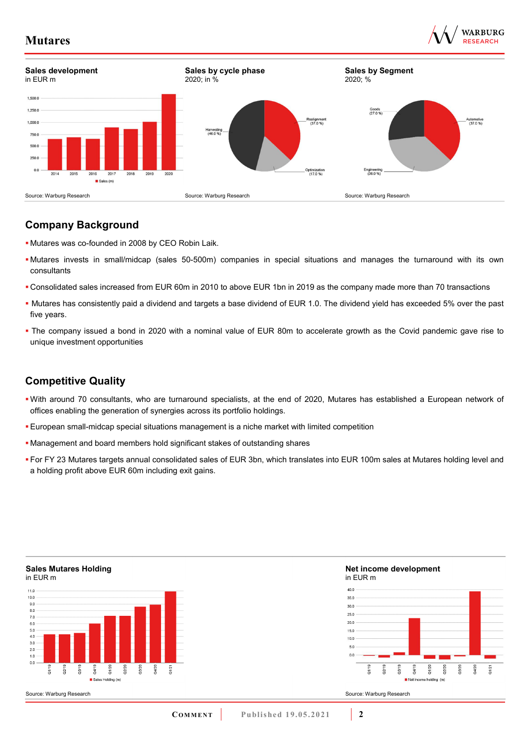



# **Company Background**

- Mutares was co-founded in 2008 by CEO Robin Laik.
- Mutares invests in small/midcap (sales 50-500m) companies in special situations and manages the turnaround with its own consultants
- Consolidated sales increased from EUR 60m in 2010 to above EUR 1bn in 2019 as the company made more than 70 transactions
- Mutares has consistently paid a dividend and targets a base dividend of EUR 1.0. The dividend yield has exceeded 5% over the past five years.
- The company issued a bond in 2020 with a nominal value of EUR 80m to accelerate growth as the Covid pandemic gave rise to unique investment opportunities

# **Competitive Quality**

- With around 70 consultants, who are turnaround specialists, at the end of 2020, Mutares has established a European network of offices enabling the generation of synergies across its portfolio holdings.
- European small-midcap special situations management is a niche market with limited competition
- Management and board members hold significant stakes of outstanding shares
- **For FY 23 Mutares targets annual consolidated sales of EUR 3bn, which translates into EUR 100m sales at Mutares holding level and** a holding profit above EUR 60m including exit gains.



#### **Net income development**  in EUR m



Source: Warburg Research

**Sales Mutares Holding**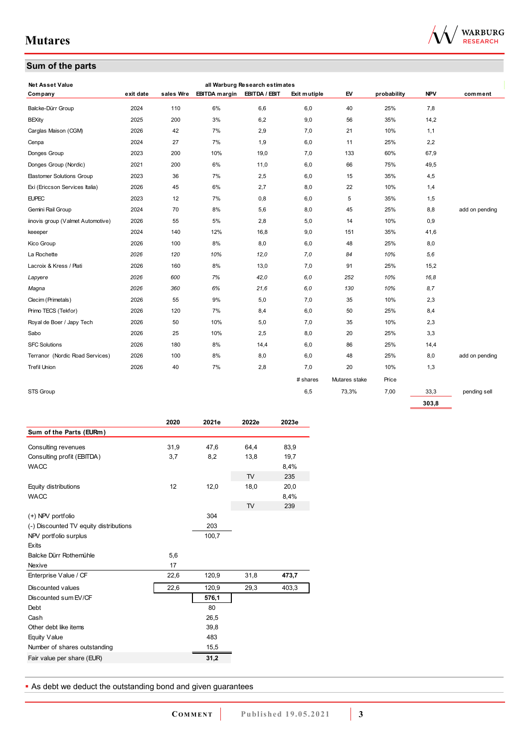# **Sum of the parts**



| <b>Net Asset Value</b>            |           |           |                             | all Warburg Research estimates |              |               |             |            |                |
|-----------------------------------|-----------|-----------|-----------------------------|--------------------------------|--------------|---------------|-------------|------------|----------------|
| Company                           | exit date | sales Wre | EBITDA margin EBITDA / EBIT |                                | Exit mutiple | EV            | probability | <b>NPV</b> | comment        |
| Balcke-Dürr Group                 | 2024      | 110       | 6%                          | 6,6                            | 6,0          | 40            | 25%         | 7,8        |                |
| <b>BEXity</b>                     | 2025      | 200       | 3%                          | 6,2                            | 9,0          | 56            | 35%         | 14,2       |                |
| Carglas Maison (CGM)              | 2026      | 42        | 7%                          | 2,9                            | 7,0          | 21            | 10%         | 1,1        |                |
| Cenpa                             | 2024      | 27        | 7%                          | 1,9                            | 6,0          | 11            | 25%         | 2,2        |                |
| Donges Group                      | 2023      | 200       | 10%                         | 19,0                           | 7,0          | 133           | 60%         | 67,9       |                |
| Donges Group (Nordic)             | 2021      | 200       | 6%                          | 11,0                           | 6,0          | 66            | 75%         | 49,5       |                |
| <b>Elastomer Solutions Group</b>  | 2023      | 36        | 7%                          | 2,5                            | 6,0          | 15            | 35%         | 4,5        |                |
| Exi (Ericcson Services Italia)    | 2026      | 45        | 6%                          | 2,7                            | 8,0          | 22            | 10%         | 1,4        |                |
| <b>EUPEC</b>                      | 2023      | 12        | 7%                          | 0,8                            | 6,0          | 5             | 35%         | 1,5        |                |
| Gemini Rail Group                 | 2024      | 70        | 8%                          | 5,6                            | 8,0          | 45            | 25%         | 8,8        | add on pending |
| iinovis group (Valmet Automotive) | 2026      | 55        | 5%                          | 2,8                            | 5,0          | 14            | 10%         | 0,9        |                |
| keeeper                           | 2024      | 140       | 12%                         | 16,8                           | 9,0          | 151           | 35%         | 41,6       |                |
| Kico Group                        | 2026      | 100       | 8%                          | 8,0                            | 6,0          | 48            | 25%         | 8,0        |                |
| La Rochette                       | 2026      | 120       | 10%                         | 12,0                           | 7,0          | 84            | 10%         | 5,6        |                |
| Lacroix & Kress / Plati           | 2026      | 160       | 8%                          | 13,0                           | 7,0          | 91            | 25%         | 15,2       |                |
| Lapyere                           | 2026      | 600       | 7%                          | 42,0                           | 6,0          | 252           | 10%         | 16.8       |                |
| Magna                             | 2026      | 360       | 6%                          | 21,6                           | 6.0          | 130           | 10%         | 8,7        |                |
| Clecim (Primetals)                | 2026      | 55        | 9%                          | 5,0                            | 7,0          | 35            | 10%         | 2,3        |                |
| Primo TECS (Tekfor)               | 2026      | 120       | 7%                          | 8,4                            | 6,0          | 50            | 25%         | 8,4        |                |
| Royal de Boer / Japy Tech         | 2026      | 50        | 10%                         | 5,0                            | 7,0          | 35            | 10%         | 2,3        |                |
| Sabo                              | 2026      | 25        | 10%                         | 2,5                            | 8,0          | 20            | 25%         | 3,3        |                |
| <b>SFC Solutions</b>              | 2026      | 180       | 8%                          | 14,4                           | 6,0          | 86            | 25%         | 14,4       |                |
| Terranor (Nordic Road Services)   | 2026      | 100       | 8%                          | 8,0                            | 6,0          | 48            | 25%         | 8,0        | add on pending |
| <b>Trefil Union</b>               | 2026      | 40        | 7%                          | 2,8                            | 7,0          | 20            | 10%         | 1,3        |                |
|                                   |           |           |                             |                                | # shares     | Mutares stake | Price       |            |                |
| STS Group                         |           |           |                             |                                | 6,5          | 73,3%         | 7,00        | 33,3       | pending sell   |
|                                   |           |           |                             |                                |              |               |             | 303.8      |                |

|                                        | 2020 | 2021e | 2022e     | 2023e |
|----------------------------------------|------|-------|-----------|-------|
| Sum of the Parts (EURm)                |      |       |           |       |
| Consulting revenues                    | 31,9 | 47,6  | 64,4      | 83,9  |
| Consulting profit (EBITDA)             | 3,7  | 8,2   | 13,8      | 19,7  |
| <b>WACC</b>                            |      |       |           | 8,4%  |
|                                        |      |       | <b>TV</b> | 235   |
| Equity distributions                   | 12   | 12,0  | 18,0      | 20,0  |
| <b>WACC</b>                            |      |       |           | 8,4%  |
|                                        |      |       | <b>TV</b> | 239   |
| (+) NPV portfolio                      |      | 304   |           |       |
| (-) Discounted TV equity distributions |      | 203   |           |       |
| NPV portfolio surplus                  |      | 100,7 |           |       |
| Exits                                  |      |       |           |       |
| Balcke Dürr Rothemühle                 | 5,6  |       |           |       |
| Nexive                                 | 17   |       |           |       |
| Enterprise Value / CF                  | 22,6 | 120,9 | 31,8      | 473,7 |
| Discounted values                      | 22,6 | 120,9 | 29,3      | 403,3 |
| Discounted sum EV/CF                   |      | 576,1 |           |       |
| Debt                                   |      | 80    |           |       |
| Cash                                   |      | 26,5  |           |       |
| Other debt like items                  |      | 39,8  |           |       |
| Equity Value                           |      | 483   |           |       |
| Number of shares outstanding           |      | 15,5  |           |       |
| Fair value per share (EUR)             |      | 31,2  |           |       |
|                                        |      |       |           |       |

**As debt we deduct the outstanding bond and given guarantees**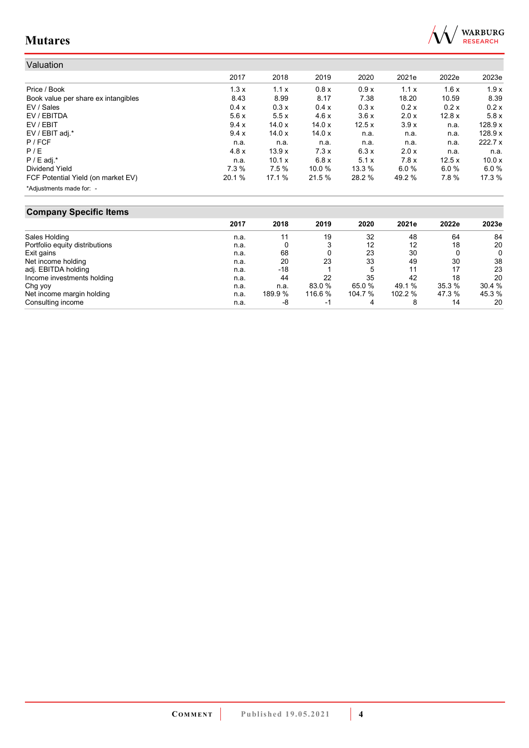

| Valuation                           |        |        |        |        |        |       |         |
|-------------------------------------|--------|--------|--------|--------|--------|-------|---------|
|                                     | 2017   | 2018   | 2019   | 2020   | 2021e  | 2022e | 2023e   |
| Price / Book                        | 1.3x   | 1.1x   | 0.8x   | 0.9x   | 1.1x   | 1.6x  | 1.9x    |
| Book value per share ex intangibles | 8.43   | 8.99   | 8.17   | 7.38   | 18.20  | 10.59 | 8.39    |
| EV / Sales                          | 0.4 x  | 0.3x   | 0.4x   | 0.3x   | 0.2 x  | 0.2x  | 0.2x    |
| EV / EBITDA                         | 5.6x   | 5.5x   | 4.6x   | 3.6x   | 2.0 x  | 12.8x | 5.8x    |
| EV / EBIT                           | 9.4x   | 14.0x  | 14.0x  | 12.5x  | 3.9x   | n.a.  | 128.9 x |
| EV / EBIT adj.*                     | 9.4x   | 14.0x  | 14.0x  | n.a.   | n.a.   | n.a.  | 128.9 x |
| P / FCF                             | n.a.   | n.a.   | n.a.   | n.a.   | n.a.   | n.a.  | 222.7x  |
| P/E                                 | 4.8 x  | 13.9x  | 7.3x   | 6.3x   | 2.0 x  | n.a.  | n.a.    |
| $P / E$ adj.*                       | n.a.   | 10.1 x | 6.8x   | 5.1x   | 7.8x   | 12.5x | 10.0x   |
| Dividend Yield                      | 7.3%   | 7.5%   | 10.0%  | 13.3 % | 6.0%   | 6.0%  | 6.0 %   |
| FCF Potential Yield (on market EV)  | 20.1 % | 17.1 % | 21.5 % | 28.2 % | 49.2 % | 7.8%  | 17.3 %  |
| *Adjustments made for: -            |        |        |        |        |        |       |         |

# **Company Specific Items**

| - - - - - - - <i>,</i> - - - - - - - - - - - - - - |      |         |         |         |         |        |        |
|----------------------------------------------------|------|---------|---------|---------|---------|--------|--------|
|                                                    | 2017 | 2018    | 2019    | 2020    | 2021e   | 2022e  | 2023e  |
| Sales Holding                                      | n.a. | 11      | 19      | 32      | 48      | 64     | 84     |
| Portfolio equity distributions                     | n.a. |         |         | 12      | 12      | 18     | 20     |
| Exit gains                                         | n.a. | 68      |         | 23      | 30      |        | 0      |
| Net income holding                                 | n.a. | 20      | 23      | 33      | 49      | 30     | 38     |
| adj. EBITDA holding                                | n.a. | $-18$   |         | 5       | 11      | 17     | 23     |
| Income investments holding                         | n.a. | 44      | 22      | 35      | 42      | 18     | 20     |
| Chg yoy                                            | n.a. | n.a.    | 83.0 %  | 65.0 %  | 49.1 %  | 35.3%  | 30.4 % |
| Net income margin holding                          | n.a. | 189.9 % | 116.6 % | 104.7 % | 102.2 % | 47.3 % | 45.3 % |
| Consulting income                                  | n.a. | -8      | - 1     |         |         | 14     | 20     |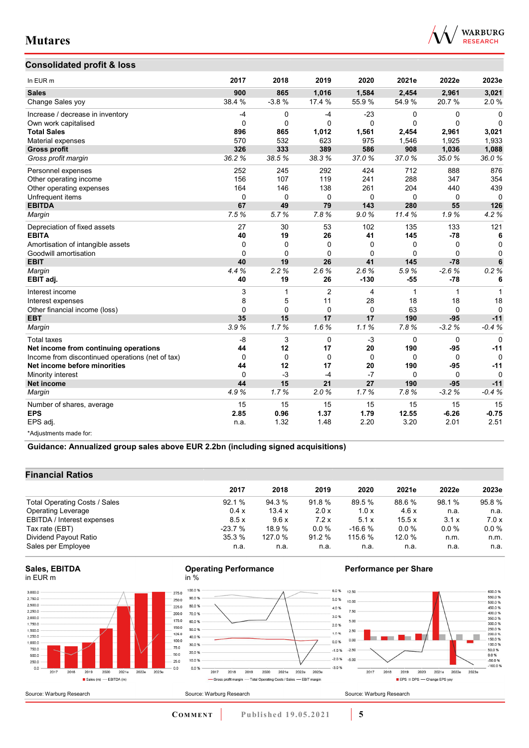## **Consolidated profit & loss**



| In EUR m                                         | 2017         | 2018         | 2019           | 2020         | 2021e        | 2022e        | 2023e        |
|--------------------------------------------------|--------------|--------------|----------------|--------------|--------------|--------------|--------------|
| <b>Sales</b>                                     | 900          | 865          | 1,016          | 1,584        | 2,454        | 2,961        | 3,021        |
| Change Sales yoy                                 | 38.4 %       | $-3.8%$      | 17.4 %         | 55.9%        | 54.9%        | 20.7 %       | 2.0%         |
| Increase / decrease in inventory                 | -4           | 0            | $-4$           | $-23$        | 0            | $\mathbf 0$  | $\Omega$     |
| Own work capitalised                             | $\mathbf{0}$ | $\Omega$     | $\Omega$       | $\Omega$     | $\mathbf{0}$ | $\mathbf{0}$ | $\Omega$     |
| <b>Total Sales</b>                               | 896          | 865          | 1,012          | 1,561        | 2,454        | 2,961        | 3,021        |
| Material expenses                                | 570          | 532          | 623            | 975          | 1,546        | 1,925        | 1,933        |
| <b>Gross profit</b>                              | 326          | 333          | 389            | 586          | 908          | 1,036        | 1,088        |
| Gross profit margin                              | 36.2%        | 38.5%        | 38.3%          | 37.0%        | 37.0%        | 35.0%        | 36.0%        |
| Personnel expenses                               | 252          | 245          | 292            | 424          | 712          | 888          | 876          |
| Other operating income                           | 156          | 107          | 119            | 241          | 288          | 347          | 354          |
| Other operating expenses                         | 164          | 146          | 138            | 261          | 204          | 440          | 439          |
| Unfrequent items                                 | 0            | $\mathbf 0$  | 0              | 0            | 0            | 0            | $\Omega$     |
| <b>EBITDA</b>                                    | 67           | 49           | 79             | 143          | 280          | 55           | 126          |
| Margin                                           | 7.5%         | 5.7%         | 7.8%           | 9.0%         | 11.4%        | 1.9%         | 4.2%         |
| Depreciation of fixed assets                     | 27           | 30           | 53             | 102          | 135          | 133          | 121          |
| <b>EBITA</b>                                     | 40           | 19           | 26             | 41           | 145          | $-78$        | 6            |
| Amortisation of intangible assets                | $\Omega$     | 0            | $\Omega$       | 0            | 0            | $\Omega$     | 0            |
| Goodwill amortisation                            | $\Omega$     | $\mathbf{0}$ | $\Omega$       | $\mathbf{0}$ | 0            | $\Omega$     | $\mathbf{0}$ |
| <b>EBIT</b>                                      | 40           | 19           | 26             | 41           | 145          | $-78$        | 6            |
| Margin                                           | 4.4%         | 2.2%         | 2.6%           | 2.6%         | 5.9%         | $-2.6%$      | 0.2%         |
| EBIT adj.                                        | 40           | 19           | 26             | $-130$       | $-55$        | $-78$        | 6            |
| Interest income                                  | 3            | 1            | $\overline{2}$ | 4            | $\mathbf{1}$ | $\mathbf{1}$ | 1            |
| Interest expenses                                | 8            | 5            | 11             | 28           | 18           | 18           | 18           |
| Other financial income (loss)                    | $\mathbf{0}$ | 0            | 0              | $\mathbf{0}$ | 63           | $\Omega$     | $\Omega$     |
| <b>EBT</b>                                       | 35           | 15           | 17             | 17           | 190          | $-95$        | $-11$        |
| Margin                                           | 3.9%         | 1.7%         | 1.6%           | 1.1%         | 7.8%         | $-3.2%$      | $-0.4%$      |
| <b>Total taxes</b>                               | -8           | 3            | $\mathbf 0$    | $-3$         | 0            | $\mathbf 0$  | $\Omega$     |
| Net income from continuing operations            | 44           | 12           | 17             | 20           | 190          | $-95$        | $-11$        |
| Income from discontinued operations (net of tax) | $\Omega$     | $\mathbf 0$  | $\mathbf 0$    | $\mathbf 0$  | 0            | $\mathbf 0$  | $\Omega$     |
| Net income before minorities                     | 44           | 12           | 17             | 20           | 190          | $-95$        | $-11$        |
| Minority interest                                | 0            | $-3$         | $-4$           | $-7$         | 0            | $\Omega$     | $\Omega$     |
| Net income                                       | 44           | 15           | 21             | 27           | 190          | $-95$        | $-11$        |
| Margin                                           | 4.9%         | 1.7%         | 2.0%           | 1.7%         | 7.8%         | $-3.2%$      | $-0.4%$      |
| Number of shares, average                        | 15           | 15           | 15             | 15           | 15           | 15           | 15           |
| <b>EPS</b>                                       | 2.85         | 0.96         | 1.37           | 1.79         | 12.55        | $-6.26$      | $-0.75$      |
| EPS adj.                                         | n.a.         | 1.32         | 1.48           | 2.20         | 3.20         | 2.01         | 2.51         |
| *Adjustments made for:                           |              |              |                |              |              |              |              |

**Guidance: Annualized group sales above EUR 2.2bn (including signed acquisitions)**

## **Financial Ratios**

| 2017     | 2018    | 2019    | 2020     | 2021e   | 2022e   | 2023e   |
|----------|---------|---------|----------|---------|---------|---------|
| 92.1%    | 94.3 %  | 91.8%   | 89.5 %   | 88.6 %  | 98.1 %  | 95.8%   |
| 0.4 x    | 13.4 x  | 2.0 x   | 1.0x     | 4.6x    | n.a.    | n.a.    |
| 8.5x     | 9.6x    | 7.2x    | 5.1x     | 15.5x   | 3.1x    | 7.0x    |
| $-23.7%$ | 18.9%   | $0.0\%$ | $-16.6%$ | $0.0\%$ | $0.0\%$ | $0.0\%$ |
| 35.3 %   | 127.0 % | 91.2 %  | 115.6 %  | 12.0%   | n.m.    | n.m.    |
| n.a.     | n.a.    | n.a.    | n.a.     | n.a.    | n.a.    | n.a.    |
|          |         |         |          |         |         |         |

#### **Sales, EBITDA**  in EUR m



#### **Operating Performance**  in %



## **Performance per Share**

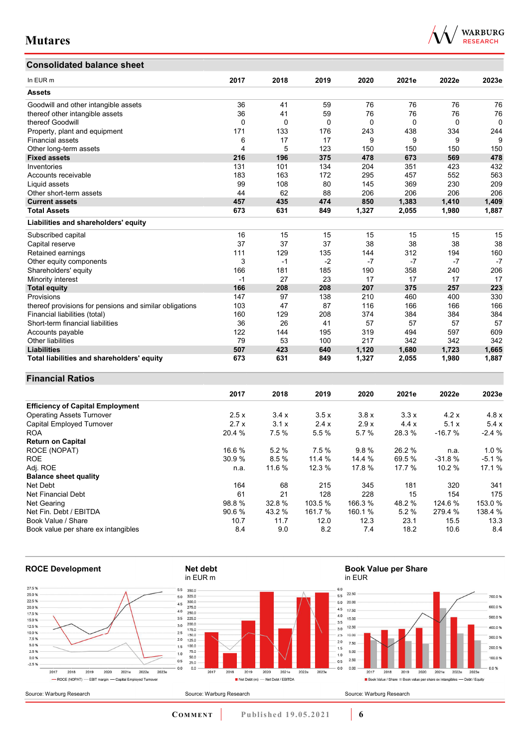**Financial Ratios** 

## **Consolidated balance sheet**



| Consolidated balance sheet                              |      |             |      |       |       |          |       |
|---------------------------------------------------------|------|-------------|------|-------|-------|----------|-------|
| In EUR m                                                | 2017 | 2018        | 2019 | 2020  | 2021e | 2022e    | 2023e |
| <b>Assets</b>                                           |      |             |      |       |       |          |       |
| Goodwill and other intangible assets                    | 36   | 41          | 59   | 76    | 76    | 76       | 76    |
| thereof other intangible assets                         | 36   | 41          | 59   | 76    | 76    | 76       | 76    |
| thereof Goodwill                                        | 0    | $\mathbf 0$ | 0    | 0     | 0     | $\Omega$ | 0     |
| Property, plant and equipment                           | 171  | 133         | 176  | 243   | 438   | 334      | 244   |
| <b>Financial assets</b>                                 | 6    | 17          | 17   | 9     | 9     | 9        | 9     |
| Other long-term assets                                  | 4    | 5           | 123  | 150   | 150   | 150      | 150   |
| <b>Fixed assets</b>                                     | 216  | 196         | 375  | 478   | 673   | 569      | 478   |
| Inventories                                             | 131  | 101         | 134  | 204   | 351   | 423      | 432   |
| Accounts receivable                                     | 183  | 163         | 172  | 295   | 457   | 552      | 563   |
| Liquid assets                                           | 99   | 108         | 80   | 145   | 369   | 230      | 209   |
| Other short-term assets                                 | 44   | 62          | 88   | 206   | 206   | 206      | 206   |
| <b>Current assets</b>                                   | 457  | 435         | 474  | 850   | 1,383 | 1,410    | 1,409 |
| <b>Total Assets</b>                                     | 673  | 631         | 849  | 1,327 | 2,055 | 1,980    | 1,887 |
| Liabilities and shareholders' equity                    |      |             |      |       |       |          |       |
| Subscribed capital                                      | 16   | 15          | 15   | 15    | 15    | 15       | 15    |
| Capital reserve                                         | 37   | 37          | 37   | 38    | 38    | 38       | 38    |
| Retained earnings                                       | 111  | 129         | 135  | 144   | 312   | 194      | 160   |
| Other equity components                                 | 3    | $-1$        | $-2$ | $-7$  | $-7$  | $-7$     | $-7$  |
| Shareholders' equity                                    | 166  | 181         | 185  | 190   | 358   | 240      | 206   |
| Minority interest                                       | $-1$ | 27          | 23   | 17    | 17    | 17       | 17    |
| <b>Total equity</b>                                     | 166  | 208         | 208  | 207   | 375   | 257      | 223   |
| Provisions                                              | 147  | 97          | 138  | 210   | 460   | 400      | 330   |
| thereof provisions for pensions and similar obligations | 103  | 47          | 87   | 116   | 166   | 166      | 166   |
| Financial liabilities (total)                           | 160  | 129         | 208  | 374   | 384   | 384      | 384   |
| Short-term financial liabilities                        | 36   | 26          | 41   | 57    | 57    | 57       | 57    |
| Accounts payable                                        | 122  | 144         | 195  | 319   | 494   | 597      | 609   |
| <b>Other liabilities</b>                                | 79   | 53          | 100  | 217   | 342   | 342      | 342   |
| <b>Liabilities</b>                                      | 507  | 423         | 640  | 1,120 | 1,680 | 1,723    | 1,665 |
| Total liabilities and shareholders' equity              | 673  | 631         | 849  | 1,327 | 2,055 | 1,980    | 1,887 |

#### **2017 2018 2019 2020 2021e 2022e 2023e Efficiency of Capital Employment**  Operating Assets Turnover 2.5 x 3.4 x 3.5 x 3.8 x 3.3 x 4.2 x 4.8 x Capital Employed Turnover 2.7 x 3.1 x 2.4 x 2.9 x 4.4 x 5.1 x 5.4 x ROA 20.4 % 7.5 % 5.5 % 5.7 % 28.3 % -16.7 % -2.4 % **Return on Capital**  ROCE (NOPAT) 16.6 % 5.2 % 7.5 % 9.8 % 26.2 % n.a. 1.0 % ROE 30.9 % 8.5 % 11.4 % 14.4 % 69.5 % -31.8 % -5.1 % Adj. ROE n.a. 11.6 % 12.3 % 17.8 % 17.7 % 10.2 % 17.1 % **Balance sheet quality**  Net Debt 164 68 215 345 181 320 341 Net Financial Debt 61 21 128 228 15 154 175 Net Gearing 98.8 % 32.8 % 103.5 % 166.3 % 48.2 % 124.6 % 153.0 % Net Fin. Debt / EBITDA 90.6 % 43.2 % 161.7 % 160.1 % 5.2 % 279.4 % 138.4 % Book Value / Share 10.7 11.7 12.0 12.3 23.1 15.5 13.3 Book value per share ex intangibles 8.4 9.0 8.2 7.4 18.2 10.6 8.4



**CO M M E N T Published 19.05.2021 6**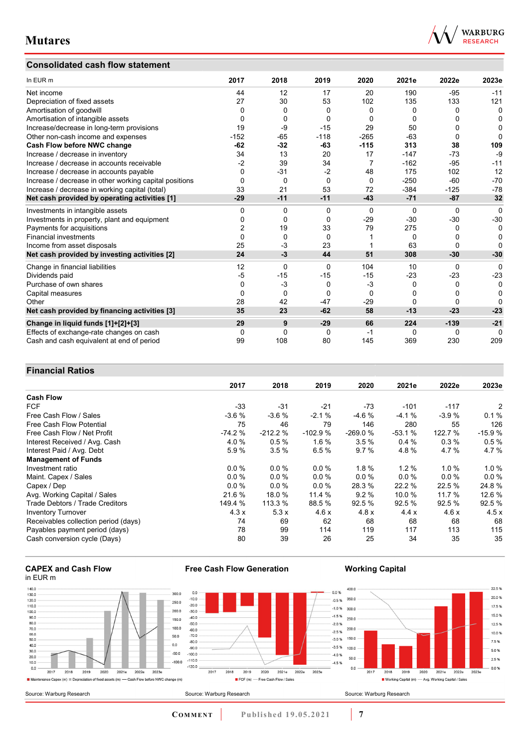## **Consolidated cash flow statement**



| In EUR m                                               | 2017     | 2018     | 2019     | 2020           | 2021e        | 2022e  | 2023e        |
|--------------------------------------------------------|----------|----------|----------|----------------|--------------|--------|--------------|
| Net income                                             | 44       | 12       | 17       | 20             | 190          | $-95$  | $-11$        |
| Depreciation of fixed assets                           | 27       | 30       | 53       | 102            | 135          | 133    | 121          |
| Amortisation of goodwill                               | 0        | 0        | 0        | 0              | 0            | 0      | $\mathbf{0}$ |
| Amortisation of intangible assets                      | 0        | 0        | 0        | 0              | $\Omega$     | 0      | 0            |
| Increase/decrease in long-term provisions              | 19       | -9       | $-15$    | 29             | 50           | O      | 0            |
| Other non-cash income and expenses                     | $-152$   | $-65$    | $-118$   | $-265$         | $-63$        | 0      | O            |
| Cash Flow before NWC change                            | $-62$    | $-32$    | $-63$    | $-115$         | 313          | 38     | 109          |
| Increase / decrease in inventory                       | 34       | 13       | 20       | 17             | $-147$       | $-73$  | $-9$         |
| Increase / decrease in accounts receivable             | $-2$     | 39       | 34       | $\overline{7}$ | $-162$       | $-95$  | $-11$        |
| Increase / decrease in accounts payable                | 0        | $-31$    | $-2$     | 48             | 175          | 102    | 12           |
| Increase / decrease in other working capital positions | $\Omega$ | 0        | $\Omega$ | $\Omega$       | $-250$       | $-60$  | $-70$        |
| Increase / decrease in working capital (total)         | 33       | 21       | 53       | 72             | $-384$       | $-125$ | $-78$        |
| Net cash provided by operating activities [1]          | $-29$    | $-11$    | $-11$    | $-43$          | $-71$        | $-87$  | 32           |
| Investments in intangible assets                       | 0        | 0        | 0        | 0              | 0            | 0      | 0            |
| Investments in property, plant and equipment           | 0        | 0        | $\Omega$ | $-29$          | $-30$        | $-30$  | $-30$        |
| Payments for acquisitions                              | 2        | 19       | 33       | 79             | 275          | 0      | 0            |
| <b>Financial investments</b>                           | 0        | $\Omega$ | $\Omega$ |                | 0            | 0      | 0            |
| Income from asset disposals                            | 25       | $-3$     | 23       |                | 63           | 0      | O            |
| Net cash provided by investing activities [2]          | 24       | $-3$     | 44       | 51             | 308          | $-30$  | $-30$        |
| Change in financial liabilities                        | 12       | $\Omega$ | $\Omega$ | 104            | 10           | 0      | $\Omega$     |
| Dividends paid                                         | -5       | $-15$    | $-15$    | $-15$          | $-23$        | $-23$  | $-23$        |
| Purchase of own shares                                 | 0        | $-3$     | 0        | $-3$           | 0            | 0      | 0            |
| Capital measures                                       | 0        | 0        | 0        | $\Omega$       | 0            | O      | 0            |
| Other                                                  | 28       | 42       | $-47$    | $-29$          | $\mathbf{0}$ | 0      | O            |
| Net cash provided by financing activities [3]          | 35       | 23       | $-62$    | 58             | $-13$        | $-23$  | $-23$        |
| Change in liquid funds [1]+[2]+[3]                     | 29       | 9        | $-29$    | 66             | 224          | $-139$ | $-21$        |
| Effects of exchange-rate changes on cash               | 0        | 0        | 0        | -1             | 0            | 0      | 0            |
| Cash and cash equivalent at end of period              | 99       | 108      | 80       | 145            | 369          | 230    | 209          |

## **Financial Ratios**

|                                        | 2017     | 2018      | 2019      | 2020      | 2021e    | 2022e    | 2023e    |
|----------------------------------------|----------|-----------|-----------|-----------|----------|----------|----------|
| <b>Cash Flow</b>                       |          |           |           |           |          |          |          |
| <b>FCF</b>                             | $-33$    | $-31$     | $-21$     | -73       | $-101$   | $-117$   | 2        |
| Free Cash Flow / Sales                 | $-3.6%$  | $-3.6%$   | $-2.1%$   | $-4.6%$   | $-4.1%$  | $-3.9%$  | 0.1%     |
| Free Cash Flow Potential               | 75       | 46        | 79        | 146       | 280      | 55       | 126      |
| Free Cash Flow / Net Profit            | $-74.2%$ | $-212.2%$ | $-102.9%$ | $-269.0%$ | $-53.1%$ | 122.7 %  | $-15.9%$ |
| Interest Received / Avg. Cash          | 4.0%     | 0.5%      | 1.6%      | 3.5%      | 0.4%     | 0.3%     | 0.5%     |
| Interest Paid / Avg. Debt              | 5.9%     | 3.5%      | 6.5%      | 9.7%      | 4.8%     | 4.7%     | 4.7%     |
| <b>Management of Funds</b>             |          |           |           |           |          |          |          |
| Investment ratio                       | 0.0%     | 0.0%      | $0.0\%$   | 1.8%      | $1.2\%$  | $1.0 \%$ | $1.0 \%$ |
| Maint. Capex / Sales                   | 0.0%     | 0.0%      | $0.0 \%$  | $0.0 \%$  | 0.0%     | $0.0 \%$ | 0.0%     |
| Capex / Dep                            | 0.0%     | 0.0%      | 0.0%      | 28.3 %    | 22.2 %   | 22.5 %   | 24.8%    |
| Avg. Working Capital / Sales           | 21.6 %   | 18.0 %    | 11.4 %    | 9.2%      | 10.0 %   | 11.7 %   | 12.6 %   |
| <b>Trade Debtors / Trade Creditors</b> | 149.4 %  | 113.3 %   | 88.5 %    | 92.5 %    | 92.5%    | 92.5 %   | 92.5 %   |
| <b>Inventory Turnover</b>              | 4.3x     | 5.3x      | 4.6x      | 4.8x      | 4.4x     | 4.6x     | 4.5x     |
| Receivables collection period (days)   | 74       | 69        | 62        | 68        | 68       | 68       | 68       |
| Payables payment period (days)         | 78       | 99        | 114       | 119       | 117      | 113      | 115      |
| Cash conversion cycle (Days)           | 80       | 39        | 26        | 25        | 34       | 35       | 35       |

#### **CAPEX and Cash Flow**  in EUR m



**Free Cash Flow Generation** 

## **Working Capital**



Source: Warburg Research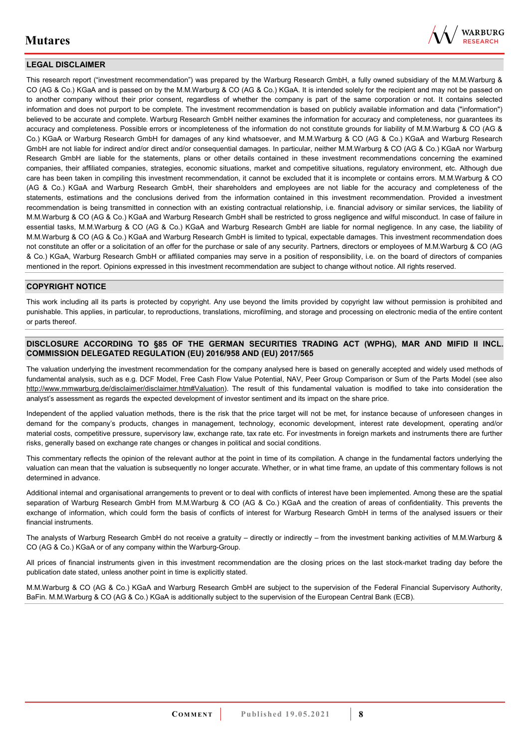

## **LEGAL DISCLAIMER**

This research report ("investment recommendation") was prepared by the Warburg Research GmbH, a fully owned subsidiary of the M.M.Warburg & CO (AG & Co.) KGaA and is passed on by the M.M.Warburg & CO (AG & Co.) KGaA. It is intended solely for the recipient and may not be passed on to another company without their prior consent, regardless of whether the company is part of the same corporation or not. It contains selected information and does not purport to be complete. The investment recommendation is based on publicly available information and data ("information") believed to be accurate and complete. Warburg Research GmbH neither examines the information for accuracy and completeness, nor guarantees its accuracy and completeness. Possible errors or incompleteness of the information do not constitute grounds for liability of M.M.Warburg & CO (AG & Co.) KGaA or Warburg Research GmbH for damages of any kind whatsoever, and M.M.Warburg & CO (AG & Co.) KGaA and Warburg Research GmbH are not liable for indirect and/or direct and/or consequential damages. In particular, neither M.M.Warburg & CO (AG & Co.) KGaA nor Warburg Research GmbH are liable for the statements, plans or other details contained in these investment recommendations concerning the examined companies, their affiliated companies, strategies, economic situations, market and competitive situations, regulatory environment, etc. Although due care has been taken in compiling this investment recommendation, it cannot be excluded that it is incomplete or contains errors. M.M.Warburg & CO (AG & Co.) KGaA and Warburg Research GmbH, their shareholders and employees are not liable for the accuracy and completeness of the statements, estimations and the conclusions derived from the information contained in this investment recommendation. Provided a investment recommendation is being transmitted in connection with an existing contractual relationship, i.e. financial advisory or similar services, the liability of M.M.Warburg & CO (AG & Co.) KGaA and Warburg Research GmbH shall be restricted to gross negligence and wilful misconduct. In case of failure in essential tasks, M.M.Warburg & CO (AG & Co.) KGaA and Warburg Research GmbH are liable for normal negligence. In any case, the liability of M.M.Warburg & CO (AG & Co.) KGaA and Warburg Research GmbH is limited to typical, expectable damages. This investment recommendation does not constitute an offer or a solicitation of an offer for the purchase or sale of any security. Partners, directors or employees of M.M.Warburg & CO (AG & Co.) KGaA, Warburg Research GmbH or affiliated companies may serve in a position of responsibility, i.e. on the board of directors of companies mentioned in the report. Opinions expressed in this investment recommendation are subject to change without notice. All rights reserved.

#### **COPYRIGHT NOTICE**

This work including all its parts is protected by copyright. Any use beyond the limits provided by copyright law without permission is prohibited and punishable. This applies, in particular, to reproductions, translations, microfilming, and storage and processing on electronic media of the entire content or parts thereof.

#### **DISCLOSURE ACCORDING TO §85 OF THE GERMAN SECURITIES TRADING ACT (WPHG), MAR AND MIFID II INCL. COMMISSION DELEGATED REGULATION (EU) 2016/958 AND (EU) 2017/565**

The valuation underlying the investment recommendation for the company analysed here is based on generally accepted and widely used methods of fundamental analysis, such as e.g. DCF Model, Free Cash Flow Value Potential, NAV, Peer Group Comparison or Sum of the Parts Model (see also [http://www.mmwarburg.de/disclaimer/disclaimer.htm#Valuation\)](http://www.mmwarburg.de/disclaimer/disclaimer.htm#Valuation). The result of this fundamental valuation is modified to take into consideration the analyst's assessment as regards the expected development of investor sentiment and its impact on the share price.

Independent of the applied valuation methods, there is the risk that the price target will not be met, for instance because of unforeseen changes in demand for the company's products, changes in management, technology, economic development, interest rate development, operating and/or material costs, competitive pressure, supervisory law, exchange rate, tax rate etc. For investments in foreign markets and instruments there are further risks, generally based on exchange rate changes or changes in political and social conditions.

This commentary reflects the opinion of the relevant author at the point in time of its compilation. A change in the fundamental factors underlying the valuation can mean that the valuation is subsequently no longer accurate. Whether, or in what time frame, an update of this commentary follows is not determined in advance.

Additional internal and organisational arrangements to prevent or to deal with conflicts of interest have been implemented. Among these are the spatial separation of Warburg Research GmbH from M.M.Warburg & CO (AG & Co.) KGaA and the creation of areas of confidentiality. This prevents the exchange of information, which could form the basis of conflicts of interest for Warburg Research GmbH in terms of the analysed issuers or their financial instruments.

The analysts of Warburg Research GmbH do not receive a gratuity – directly or indirectly – from the investment banking activities of M.M.Warburg & CO (AG & Co.) KGaA or of any company within the Warburg-Group.

All prices of financial instruments given in this investment recommendation are the closing prices on the last stock-market trading day before the publication date stated, unless another point in time is explicitly stated.

M.M.Warburg & CO (AG & Co.) KGaA and Warburg Research GmbH are subject to the supervision of the Federal Financial Supervisory Authority, BaFin. M.M.Warburg & CO (AG & Co.) KGaA is additionally subject to the supervision of the European Central Bank (ECB).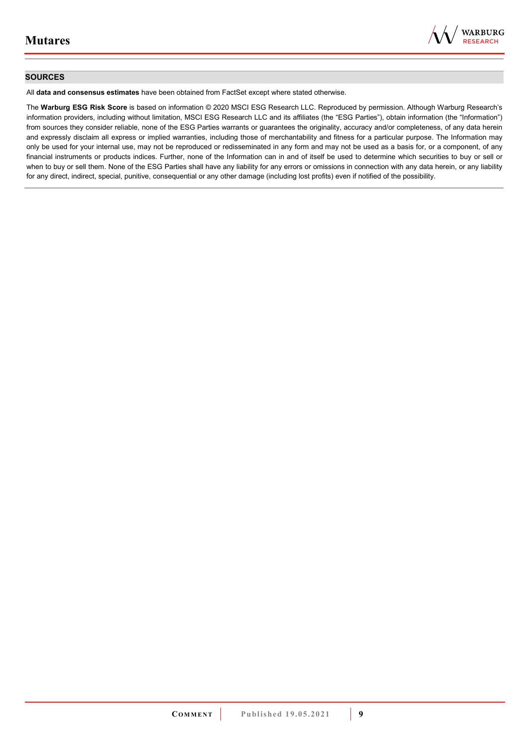

#### **SOURCES**

All **data and consensus estimates** have been obtained from FactSet except where stated otherwise.

The **Warburg ESG Risk Score** is based on information © 2020 MSCI ESG Research LLC. Reproduced by permission. Although Warburg Research's information providers, including without limitation, MSCI ESG Research LLC and its affiliates (the "ESG Parties"), obtain information (the "Information") from sources they consider reliable, none of the ESG Parties warrants or guarantees the originality, accuracy and/or completeness, of any data herein and expressly disclaim all express or implied warranties, including those of merchantability and fitness for a particular purpose. The Information may only be used for your internal use, may not be reproduced or redisseminated in any form and may not be used as a basis for, or a component, of any financial instruments or products indices. Further, none of the Information can in and of itself be used to determine which securities to buy or sell or when to buy or sell them. None of the ESG Parties shall have any liability for any errors or omissions in connection with any data herein, or any liability for any direct, indirect, special, punitive, consequential or any other damage (including lost profits) even if notified of the possibility.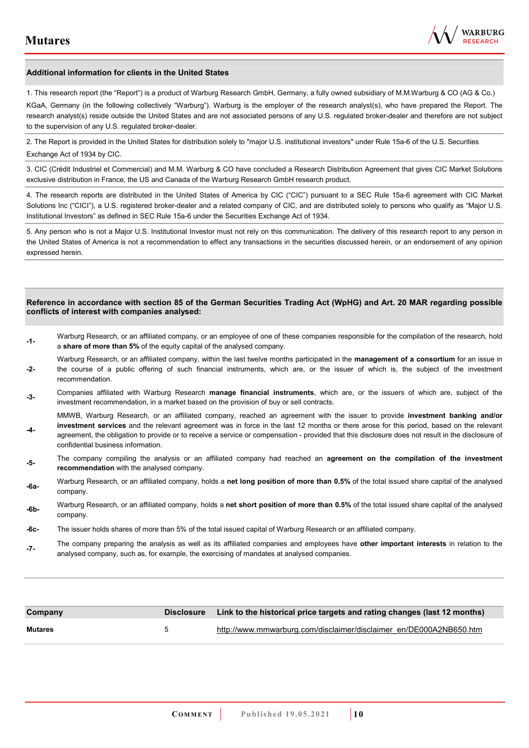**-4-** 

confidential business information.



#### **Additional information for clients in the United States**

1. This research report (the "Report") is a product of Warburg Research GmbH, Germany, a fully owned subsidiary of M.M.Warburg & CO (AG & Co.)

KGaA, Germany (in the following collectively "Warburg"). Warburg is the employer of the research analyst(s), who have prepared the Report. The research analyst(s) reside outside the United States and are not associated persons of any U.S. regulated broker-dealer and therefore are not subject to the supervision of any U.S. regulated broker-dealer.

2. The Report is provided in the United States for distribution solely to "major U.S. institutional investors" under Rule 15a-6 of the U.S. Securities Exchange Act of 1934 by CIC.

3. CIC (Crédit Industriel et Commercial) and M.M. Warburg & CO have concluded a Research Distribution Agreement that gives CIC Market Solutions exclusive distribution in France, the US and Canada of the Warburg Research GmbH research product.

4. The research reports are distributed in the United States of America by CIC ("CIC") pursuant to a SEC Rule 15a-6 agreement with CIC Market Solutions Inc ("CICI"), a U.S. registered broker-dealer and a related company of CIC, and are distributed solely to persons who qualify as "Major U.S. Institutional Investors" as defined in SEC Rule 15a-6 under the Securities Exchange Act of 1934.

5. Any person who is not a Major U.S. Institutional Investor must not rely on this communication. The delivery of this research report to any person in the United States of America is not a recommendation to effect any transactions in the securities discussed herein, or an endorsement of any opinion expressed herein.

#### **Reference in accordance with section 85 of the German Securities Trading Act (WpHG) and Art. 20 MAR regarding possible conflicts of interest with companies analysed:**

- **-1-** Warburg Research, or an affiliated company, or an employee of one of these companies responsible for the compilation of the research, hold a **share of more than 5%** of the equity capital of the analysed company.
- **-2-**  Warburg Research, or an affiliated company, within the last twelve months participated in the **management of a consortium** for an issue in the course of a public offering of such financial instruments, which are, or the issuer of which is, the subject of the investment recommendation.
- **-3-** Companies affiliated with Warburg Research **manage financial instruments**, which are, or the issuers of which are, subject of the investment recommendation, in a market based on the provision of buy or sell contracts.

MMWB, Warburg Research, or an affiliated company, reached an agreement with the issuer to provide **investment banking and/or investment services** and the relevant agreement was in force in the last 12 months or there arose for this period, based on the relevant agreement, the obligation to provide or to receive a service or compensation - provided that this disclosure does not result in the disclosure of

- **-5-** The company compiling the analysis or an affiliated company had reached an **agreement on the compilation of the investment recommendation** with the analysed company.
- **-6a-** Warburg Research, or an affiliated company, holds a **net long position of more than 0.5%** of the total issued share capital of the analysed company.
- **-6b-** Warburg Research, or an affiliated company, holds a **net short position of more than 0.5%** of the total issued share capital of the analysed company.
- **-6c-** The issuer holds shares of more than 5% of the total issued capital of Warburg Research or an affiliated company.
- **-7-** The company preparing the analysis as well as its affiliated companies and employees have **other important interests** in relation to the analysed company, such as, for example, the exercising of mandates at analysed companies.

| Company        |   | Disclosure Link to the historical price targets and rating changes (last 12 months) |
|----------------|---|-------------------------------------------------------------------------------------|
| <b>Mutares</b> | 5 | http://www.mmwarburg.com/disclaimer/disclaimer en/DE000A2NB650.htm                  |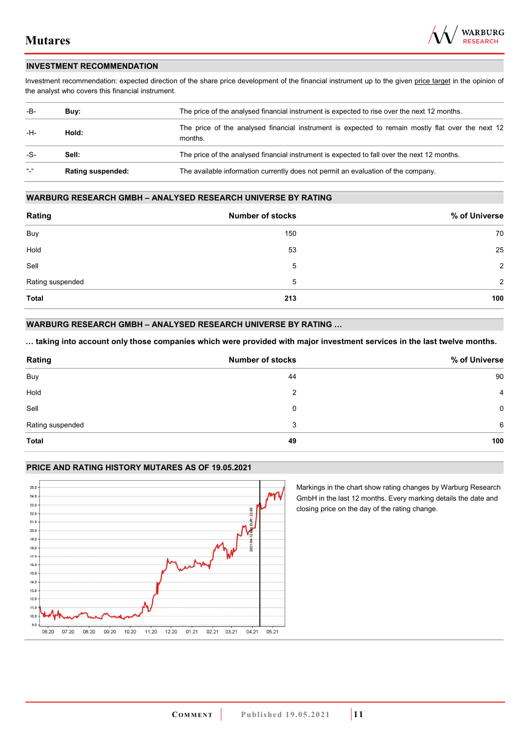

#### **INVESTMENT RECOMMENDATION**

Investment recommendation: expected direction of the share price development of the financial instrument up to the given price target in the opinion of the analyst who covers this financial instrument.

| -B-                       | Buv:                     | The price of the analysed financial instrument is expected to rise over the next 12 months.                  |  |
|---------------------------|--------------------------|--------------------------------------------------------------------------------------------------------------|--|
| -H-                       | Hold:                    | The price of the analysed financial instrument is expected to remain mostly flat over the next 12<br>months. |  |
| -S-                       | Sell:                    | The price of the analysed financial instrument is expected to fall over the next 12 months.                  |  |
| $\mathbf{u}$ $\mathbf{u}$ | <b>Rating suspended:</b> | The available information currently does not permit an evaluation of the company.                            |  |

#### **WARBURG RESEARCH GMBH – ANALYSED RESEARCH UNIVERSE BY RATING**

| Rating           | <b>Number of stocks</b> | % of Universe |
|------------------|-------------------------|---------------|
| Buy              | 150                     | 70            |
| Hold             | 53                      | 25            |
| Sell             | 5                       | 2             |
| Rating suspended | 5                       | 2             |
| <b>Total</b>     | 213                     | 100           |

## **WARBURG RESEARCH GMBH – ANALYSED RESEARCH UNIVERSE BY RATING …**

**… taking into account only those companies which were provided with major investment services in the last twelve months.** 

| Rating           | <b>Number of stocks</b> | % of Universe  |
|------------------|-------------------------|----------------|
| Buy              | 44                      | 90             |
| Hold             | 2                       | $\overline{4}$ |
| Sell             | 0                       | 0              |
| Rating suspended | 3                       | 6              |
| <b>Total</b>     | 49                      | 100            |

#### **PRICE AND RATING HISTORY MUTARES AS OF 19.05.2021**



Markings in the chart show rating changes by Warburg Research GmbH in the last 12 months. Every marking details the date and closing price on the day of the rating change.